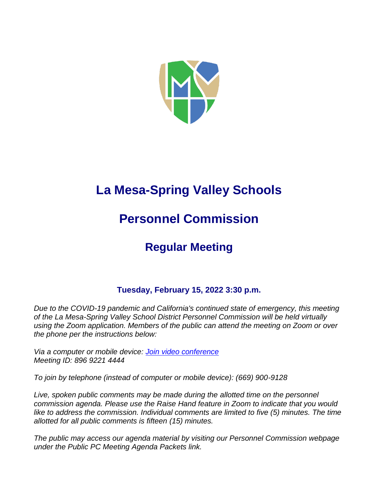

# **La Mesa-Spring Valley Schools**

# **Personnel Commission**

## **Regular Meeting**

### **Tuesday, February 15, 2022 3:30 p.m.**

*Due to the COVID-19 pandemic and California's continued state of emergency, this meeting of the La Mesa-Spring Valley School District Personnel Commission will be held virtually using the Zoom application. Members of the public can attend the meeting on Zoom or over the phone per the instructions below:*

*Via a computer or mobile device: [Join video conference](https://lmsvsd-net.zoom.us/j/89692214444) Meeting ID: 896 9221 4444*

*To join by telephone (instead of computer or mobile device): (669) 900-9128*

Live, spoken public comments may be made during the allotted time on the personnel *commission agenda. Please use the Raise Hand feature in Zoom to indicate that you would like to address the commission. Individual comments are limited to five (5) minutes. The time allotted for all public comments is fifteen (15) minutes.*

*The public may access our agenda material by visiting our Personnel Commission webpage under the Public PC Meeting Agenda Packets link.*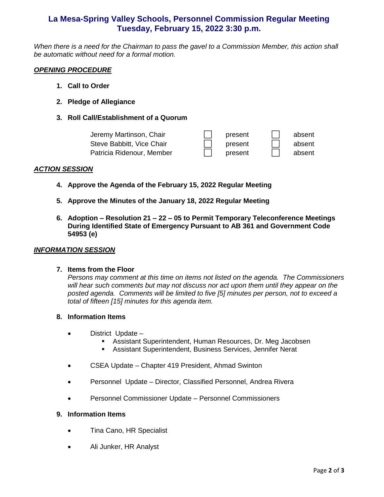### **La Mesa-Spring Valley Schools, Personnel Commission Regular Meeting Tuesday, February 15, 2022 3:30 p.m.**

*When there is a need for the Chairman to pass the gavel to a Commission Member, this action shall be automatic without need for a formal motion.*

#### *OPENING PROCEDURE*

- **1. Call to Order**
- **2. Pledge of Allegiance**
- **3. Roll Call/Establishment of a Quorum**

| Jeremy Martinson, Chair   | present | absent |
|---------------------------|---------|--------|
| Steve Babbitt, Vice Chair | present | absent |
| Patricia Ridenour, Member | present | absent |

#### *ACTION SESSION*

- **4. Approve the Agenda of the February 15, 2022 Regular Meeting**
- **5. Approve the Minutes of the January 18, 2022 Regular Meeting**
- **6. Adoption – Resolution 21 – 22 – 05 to Permit Temporary Teleconference Meetings During Identified State of Emergency Pursuant to AB 361 and Government Code 54953 (e)**

#### *INFORMATION SESSION*

#### **7. Items from the Floor**

*Persons may comment at this time on items not listed on the agenda. The Commissioners will hear such comments but may not discuss nor act upon them until they appear on the posted agenda. Comments will be limited to five [5] minutes per person, not to exceed a total of fifteen [15] minutes for this agenda item.* 

#### **8. Information Items**

- District Update
	- Assistant Superintendent, Human Resources, Dr. Meg Jacobsen
	- **EXECT:** Assistant Superintendent, Business Services, Jennifer Nerat
- CSEA Update Chapter 419 President, Ahmad Swinton
- Personnel Update Director, Classified Personnel, Andrea Rivera
- Personnel Commissioner Update Personnel Commissioners

#### **9. Information Items**

- Tina Cano, HR Specialist
- Ali Junker, HR Analyst